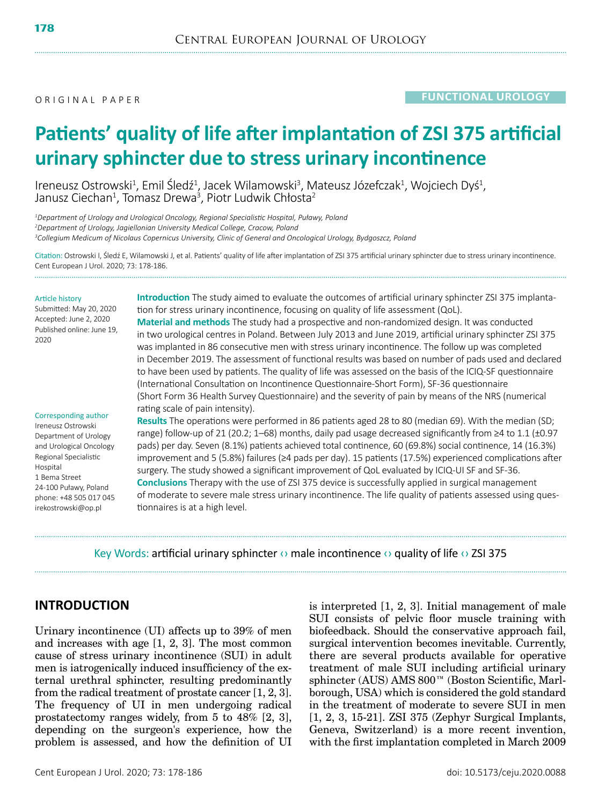# **Patients' quality of life after implantation of ZSI 375 artificial urinary sphincter due to stress urinary incontinence**

Ireneusz Ostrowski<sup>1</sup>, Emil Śledź<sup>1</sup>, Jacek Wilamowski<sup>3</sup>, Mateusz Józefczak<sup>1</sup>, Wojciech Dyś<sup>1</sup>,<br>Janusz Ciechan<sup>1</sup>, Tomasz Drewa<sup>3</sup>, Piotr Ludwik Chłosta<sup>2</sup> , Tomasz Drewa3 , Piotr Ludwik Chłosta<sup>2</sup>

*1 Department of Urology and Urological Oncology, Regional Specialistic Hospital, Puławy, Poland 2 Department of Urology, Jagiellonian University Medical College, Cracow, Poland 3 Collegium Medicum of Nicolaus Copernicus University, Clinic of General and Oncological Urology, Bydgoszcz, Poland*

Citation: Ostrowski I, Śledź E, Wilamowski J, et al. Patients' quality of life after implantation of ZSI 375 artificial urinary sphincter due to stress urinary incontinence. Cent European J Urol. 2020; 73: 178-186.

#### Article history

Submitted: May 20, 2020 Accepted: June 2, 2020 Published online: June 19, 2020

#### Corresponding author

Ireneusz Ostrowski Department of Urology and Urological Oncology Regional Specialistic Hospital 1 Bema Street 24-100 Puławy, Poland phone: +48 505 017 045 irekostrowski@op.pl

**Introduction** The study aimed to evaluate the outcomes of artificial urinary sphincter ZSI 375 implantation for stress urinary incontinence, focusing on quality of life assessment (QoL). **Material and methods** The study had a prospective and non-randomized design. It was conducted in two urological centres in Poland. Between July 2013 and June 2019, artificial urinary sphincter ZSI 375 was implanted in 86 consecutive men with stress urinary incontinence. The follow up was completed in December 2019. The assessment of functional results was based on number of pads used and declared to have been used by patients. The quality of life was assessed on the basis of the ICIQ-SF questionnaire (International Consultation on Incontinence Questionnaire-Short Form), SF-36 questionnaire (Short Form 36 Health Survey Questionnaire) and the severity of pain by means of the NRS (numerical rating scale of pain intensity).

**Results** The operations were performed in 86 patients aged 28 to 80 (median 69). With the median (SD; range) follow-up of 21 (20.2; 1–68) months, daily pad usage decreased significantly from ≥4 to 1.1 (±0.97 pads) per day. Seven (8.1%) patients achieved total continence, 60 (69.8%) social continence, 14 (16.3%) improvement and 5 (5.8%) failures (≥4 pads per day). 15 patients (17.5%) experienced complications after surgery. The study showed a significant improvement of QoL evaluated by ICIQ-UI SF and SF-36. **Conclusions** Therapy with the use of ZSI 375 device is successfully applied in surgical management of moderate to severe male stress urinary incontinence. The life quality of patients assessed using questionnaires is at a high level.

Key Words: artificial urinary sphincter  $\circ$  male incontinence  $\circ$  quality of life  $\circ$  ZSI 375

# **INTRODUCTION**

Urinary incontinence (UI) affects up to 39% of men and increases with age [1, 2, 3]. The most common cause of stress urinary incontinence (SUI) in adult men is iatrogenically induced insufficiency of the external urethral sphincter, resulting predominantly from the radical treatment of prostate cancer [1, 2, 3]. The frequency of UI in men undergoing radical prostatectomy ranges widely, from 5 to 48% [2, 3], depending on the surgeon's experience, how the problem is assessed, and how the definition of UI is interpreted [1, 2, 3]. Initial management of male SUI consists of pelvic floor muscle training with biofeedback. Should the conservative approach fail, surgical intervention becomes inevitable. Currently, there are several products available for operative treatment of male SUI including artificial urinary sphincter (AUS) AMS 800™ (Boston Scientific, Marlborough, USA) which is considered the gold standard in the treatment of moderate to severe SUI in men [1, 2, 3, 15-21]. ZSI 375 (Zephyr Surgical Implants, Geneva, Switzerland) is a more recent invention, with the first implantation completed in March 2009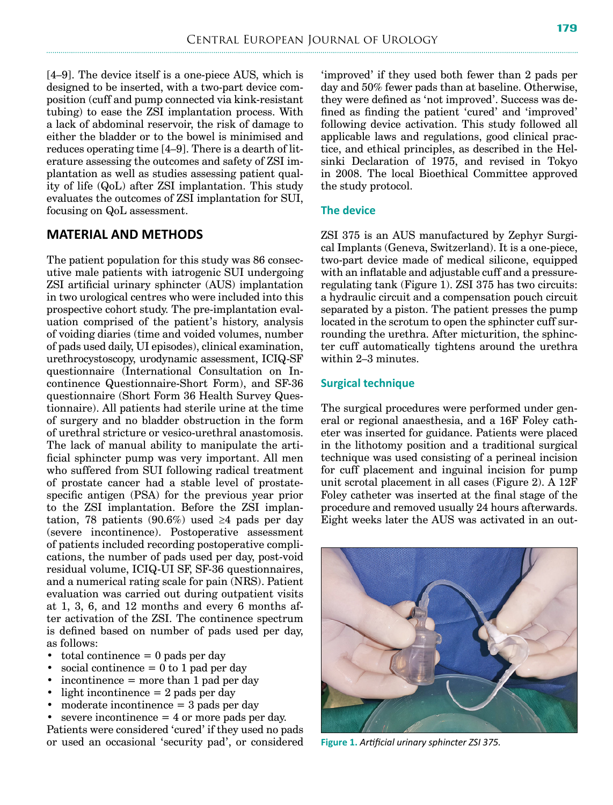[4–9]. The device itself is a one-piece AUS, which is designed to be inserted, with a two-part device composition (cuff and pump connected via kink-resistant tubing) to ease the ZSI implantation process. With a lack of abdominal reservoir, the risk of damage to either the bladder or to the bowel is minimised and reduces operating time [4–9]. There is a dearth of literature assessing the outcomes and safety of ZSI implantation as well as studies assessing patient quality of life (QoL) after ZSI implantation. This study evaluates the outcomes of ZSI implantation for SUI, focusing on QoL assessment.

# **MATERIAL AND METHODS**

The patient population for this study was 86 consecutive male patients with iatrogenic SUI undergoing ZSI artificial urinary sphincter (AUS) implantation in two urological centres who were included into this prospective cohort study. The pre-implantation evaluation comprised of the patient's history, analysis of voiding diaries (time and voided volumes, number of pads used daily, UI episodes), clinical examination, urethrocystoscopy, urodynamic assessment, ICIQ-SF questionnaire (International Consultation on Incontinence Questionnaire-Short Form), and SF-36 questionnaire (Short Form 36 Health Survey Questionnaire). All patients had sterile urine at the time of surgery and no bladder obstruction in the form of urethral stricture or vesico-urethral anastomosis. The lack of manual ability to manipulate the artificial sphincter pump was very important. All men who suffered from SUI following radical treatment of prostate cancer had a stable level of prostatespecific antigen (PSA) for the previous year prior to the ZSI implantation. Before the ZSI implantation, 78 patients (90.6%) used  $\geq 4$  pads per day (severe incontinence). Postoperative assessment of patients included recording postoperative complications, the number of pads used per day, post-void residual volume, ICIQ-UI SF, SF-36 questionnaires, and a numerical rating scale for pain (NRS). Patient evaluation was carried out during outpatient visits at 1, 3, 6, and 12 months and every 6 months after activation of the ZSI. The continence spectrum is defined based on number of pads used per day, as follows:

- total continence  $= 0$  pads per day
- social continence  $= 0$  to 1 pad per day
- incontinence  $=$  more than 1 pad per day
- light incontinence  $= 2$  pads per day
- moderate incontinence = 3 pads per day

severe incontinence  $= 4$  or more pads per day. Patients were considered 'cured' if they used no pads or used an occasional 'security pad', or considered **Figure 1.** *Artificial urinary sphincter ZSI 375.*

'improved' if they used both fewer than 2 pads per day and 50% fewer pads than at baseline. Otherwise, they were defined as 'not improved'. Success was defined as finding the patient 'cured' and 'improved' following device activation. This study followed all applicable laws and regulations, good clinical practice, and ethical principles, as described in the Helsinki Declaration of 1975, and revised in Tokyo in 2008. The local Bioethical Committee approved the study protocol.

## **The device**

ZSI 375 is an AUS manufactured by Zephyr Surgical Implants (Geneva, Switzerland). It is a one-piece, two-part device made of medical silicone, equipped with an inflatable and adjustable cuff and a pressureregulating tank (Figure 1). ZSI 375 has two circuits: a hydraulic circuit and a compensation pouch circuit separated by a piston. The patient presses the pump located in the scrotum to open the sphincter cuff surrounding the urethra. After micturition, the sphincter cuff automatically tightens around the urethra within 2–3 minutes.

#### **Surgical technique**

The surgical procedures were performed under general or regional anaesthesia, and a 16F Foley catheter was inserted for guidance. Patients were placed in the lithotomy position and a traditional surgical technique was used consisting of a perineal incision for cuff placement and inguinal incision for pump unit scrotal placement in all cases (Figure 2). A 12F Foley catheter was inserted at the final stage of the procedure and removed usually 24 hours afterwards. Eight weeks later the AUS was activated in an out-

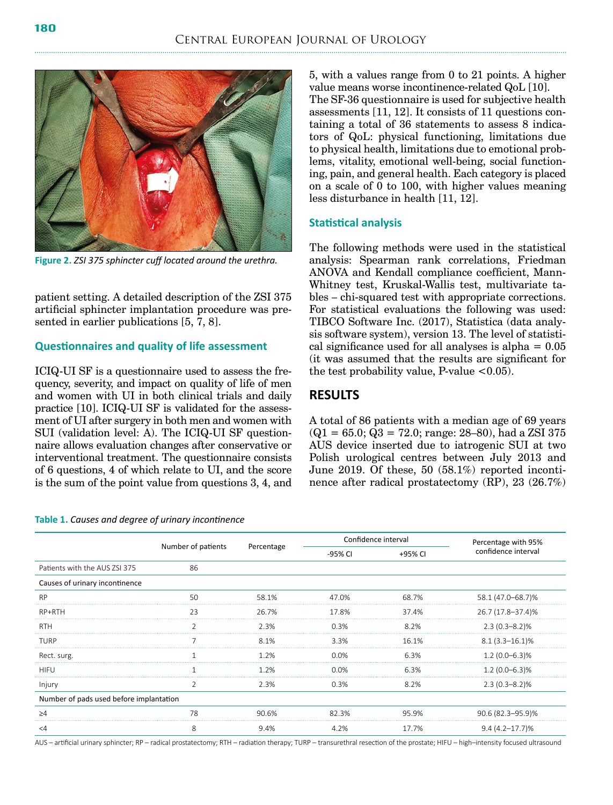

**Figure 2.** *ZSI 375 sphincter cuff located around the urethra.*

patient setting. A detailed description of the ZSI 375 artificial sphincter implantation procedure was presented in earlier publications [5, 7, 8].

#### **Questionnaires and quality of life assessment**

ICIQ-UI SF is a questionnaire used to assess the frequency, severity, and impact on quality of life of men and women with UI in both clinical trials and daily practice [10]. ICIQ-UI SF is validated for the assessment of UI after surgery in both men and women with SUI (validation level: A). The ICIQ-UI SF questionnaire allows evaluation changes after conservative or interventional treatment. The questionnaire consists of 6 questions, 4 of which relate to UI, and the score is the sum of the point value from questions 3, 4, and

**Table 1.** *Causes and degree of urinary incontinence*

5, with a values range from 0 to 21 points. A higher value means worse incontinence-related QoL [10]. The SF-36 questionnaire is used for subjective health assessments [11, 12]. It consists of 11 questions containing a total of 36 statements to assess 8 indicators of QoL: physical functioning, limitations due to physical health, limitations due to emotional problems, vitality, emotional well-being, social functioning, pain, and general health. Each category is placed on a scale of 0 to 100, with higher values meaning less disturbance in health [11, 12].

#### **Statistical analysis**

The following methods were used in the statistical analysis: Spearman rank correlations, Friedman ANOVA and Kendall compliance coefficient, Mann-Whitney test, Kruskal-Wallis test, multivariate tables – chi-squared test with appropriate corrections. For statistical evaluations the following was used: TIBCO Software Inc. (2017), Statistica (data analysis software system), version 13. The level of statistical significance used for all analyses is alpha  $= 0.05$ (it was assumed that the results are significant for the test probability value, P-value  $< 0.05$ ).

# **RESULTS**

A total of 86 patients with a median age of 69 years  $(Q1 = 65.0; Q3 = 72.0; \text{range: } 28{\text -}80)$ , had a ZSI 375 AUS device inserted due to iatrogenic SUI at two Polish urological centres between July 2013 and June 2019. Of these, 50 (58.1%) reported incontinence after radical prostatectomy (RP), 23 (26.7%)

|                                         | Number of patients | Percentage |         | Confidence interval | Percentage with 95% |
|-----------------------------------------|--------------------|------------|---------|---------------------|---------------------|
|                                         |                    |            | -95% CI | +95% CI             | confidence interval |
| Patients with the AUS ZSI 375           | 86                 |            |         |                     |                     |
| Causes of urinary incontinence          |                    |            |         |                     |                     |
| <b>RP</b>                               | 50                 | 58.1%      | 47.0%   | 68.7%               | 58.1 (47.0–68.7)%   |
| RP+RTH                                  | 23                 | 26.7%      | 17.8%   | 37.4%               | 26.7 (17.8-37.4)%   |
| RTH                                     |                    | 2.3%       | 0.3%    | 8.2%                | $2.3(0.3 - 8.2)\%$  |
| TURP                                    |                    | 8.1%       | 3.3%    | 16.1%               | $8.1(3.3 - 16.1)\%$ |
| Rect. surg.                             |                    | 1 2%       | 0.0%    | 6.3%                | $1.2(0.0-6.3)\%$    |
| <b>HIFU</b>                             |                    | 1.2%       | $0.0\%$ | 6.3%                | $1.2(0.0-6.3)\%$    |
| Injury                                  |                    | 2.3%       | 0.3%    | 8.2%                | $2.3(0.3 - 8.2)\%$  |
| Number of pads used before implantation |                    |            |         |                     |                     |
| >4                                      | 78                 | 90.6%      | 82.3%   | 95.9%               | 90.6 (82.3-95.9)%   |
| $\leq 4$                                | 8                  | 9.4%       | 4.2%    | 17.7%               | $9.4(4.2 - 17.7)\%$ |

AUS – artificial urinary sphincter; RP – radical prostatectomy; RTH – radiation therapy; TURP – transurethral resection of the prostate; HIFU – high–intensity focused ultrasound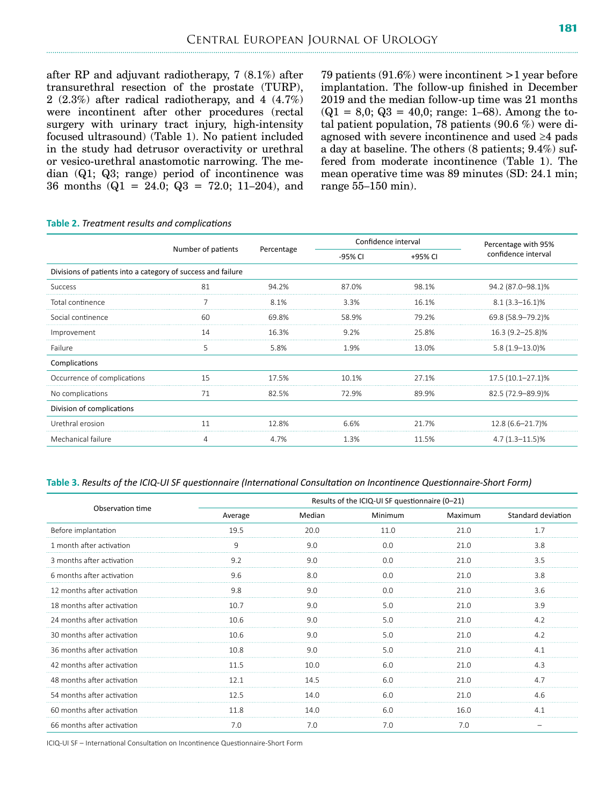after RP and adjuvant radiotherapy, 7 (8.1%) after transurethral resection of the prostate (TURP), 2 (2.3%) after radical radiotherapy, and 4 (4.7%) were incontinent after other procedures (rectal surgery with urinary tract injury, high-intensity focused ultrasound) (Table 1). No patient included in the study had detrusor overactivity or urethral or vesico-urethral anastomotic narrowing. The median (Q1; Q3; range) period of incontinence was 36 months  $(Q1 = 24.0; Q3 = 72.0; 11–204)$ , and 79 patients (91.6%) were incontinent >1 year before implantation. The follow-up finished in December 2019 and the median follow-up time was 21 months  $(Q1 = 8.0; Q3 = 40.0; \text{range: } 1-68)$ . Among the total patient population, 78 patients (90.6 %) were diagnosed with severe incontinence and used ≥4 pads a day at baseline. The others (8 patients; 9.4%) suffered from moderate incontinence (Table 1). The mean operative time was 89 minutes (SD: 24.1 min; range 55–150 min).

|                                                              |                    | Percentage |         | Confidence interval | Percentage with 95% |
|--------------------------------------------------------------|--------------------|------------|---------|---------------------|---------------------|
|                                                              | Number of patients |            | -95% CI | +95% CI             | confidence interval |
| Divisions of patients into a category of success and failure |                    |            |         |                     |                     |
| <b>Success</b>                                               | 81                 | 94.2%      | 87.0%   | 98.1%               | 94.2 (87.0-98.1)%   |
| Total continence                                             |                    | 8.1%       | 3.3%    | 16.1%               | $8.1(3.3 - 16.1)\%$ |
| Social continence                                            | 60                 | 69.8%      | 58.9%   | 79.2%               | 69.8 (58.9–79.2)%   |
| Improvement                                                  | 14                 | 16.3%      | 9.2%    | 25.8%               | 16.3 (9.2-25.8)%    |
| Failure                                                      | 5                  | 5.8%       | 1.9%    | 13.0%               | $5.8(1.9-13.0)\%$   |
| Complications                                                |                    |            |         |                     |                     |
| Occurrence of complications                                  | 15                 | 17.5%      | 10.1%   | 27.1%               | 17.5 (10.1-27.1)%   |
| No complications                                             | 71                 | 82.5%      | 72.9%   | 89.9%               | 82.5 (72.9–89.9)%   |
| Division of complications                                    |                    |            |         |                     |                     |
| Urethral erosion                                             | 11                 | 12.8%      | 6.6%    | 21.7%               | 12.8 (6.6-21.7)%    |
| Mechanical failure                                           | 4                  | 4.7%       | 1.3%    | 11.5%               | $4.7(1.3 - 11.5)\%$ |

#### **Table 2.** *Treatment results and complications*

**Table 3.** *Results of the ICIQ-UI SF questionnaire (International Consultation on Incontinence Questionnaire-Short Form)*

| Observation time           | Results of the ICIQ-UI SF questionnaire (0-21) |        |         |         |                    |
|----------------------------|------------------------------------------------|--------|---------|---------|--------------------|
|                            | Average                                        | Median | Minimum | Maximum | Standard deviation |
| Before implantation        | 19.5                                           | 20.0   | 11.0    | 21.0    | 17                 |
| 1 month after activation   | 9                                              | 9.0    | 0.0     | 21.0    | 3.8                |
| 3 months after activation  | 92                                             | 9.0    | 0 Q     | 21.0    | 3.5                |
| 6 months after activation  | 9.6                                            | 8.0    | 0.0     | 21.0    | 3.8                |
| 12 months after activation | 98                                             | 9 O    | n n     | 210     | 3.6                |
| 18 months after activation | 107                                            | 9.0    | 50      | 21 O    | 3.9                |
| 24 months after activation | 10.6                                           | 9.0    | 5.0     | 21.0    | 4.2                |
| 30 months after activation | 10.6                                           | 9.0    | 5.0     | 21.0    | 4.2                |
| 36 months after activation | 10.8                                           | 9.0    | 5.0     | 21.0    | 4.1                |
| 42 months after activation | 11.5                                           | 100    | 60      | 210     | 43                 |
| 48 months after activation | 121                                            | 14.5   | 60      | 210     | 47                 |
| 54 months after activation | 12.5                                           | 14.0   | 6.0     | 21.0    | 4.6                |
| 60 months after activation | 11.8                                           | 14.0   | 60      | 16.0    | 41                 |
| 66 months after activation | 7 N                                            | 7.0    | 7.0     | 7.0     |                    |

ICIQ-UI SF – International Consultation on Incontinence Questionnaire-Short Form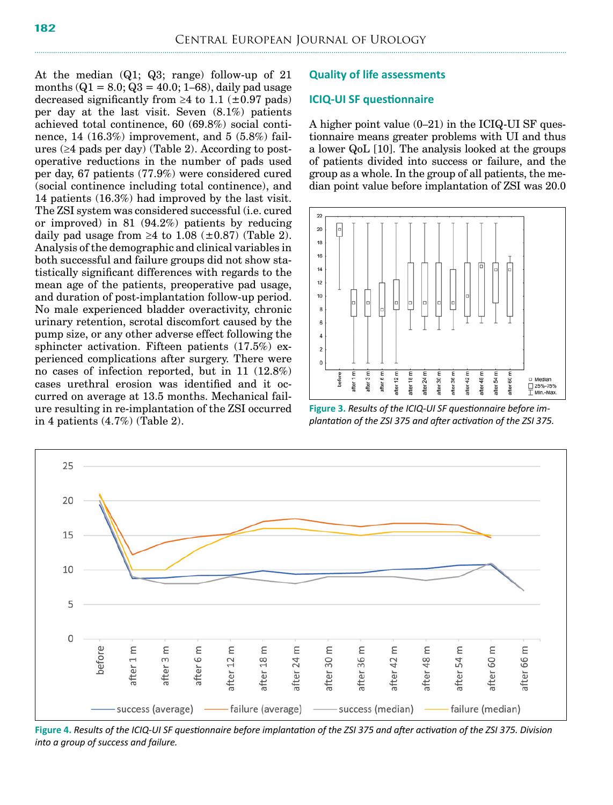At the median (Q1; Q3; range) follow-up of 21 months  $(Q1 = 8.0; Q3 = 40.0; 1–68)$ , daily pad usage decreased significantly from  $\geq 4$  to 1.1 ( $\pm 0.97$  pads) per day at the last visit. Seven (8.1%) patients achieved total continence, 60 (69.8%) social continence, 14 (16.3%) improvement, and 5 (5.8%) failures (≥4 pads per day) (Table 2). According to postoperative reductions in the number of pads used per day, 67 patients (77.9%) were considered cured (social continence including total continence), and 14 patients (16.3%) had improved by the last visit. The ZSI system was considered successful (i.e. cured or improved) in 81 (94.2%) patients by reducing daily pad usage from  $\geq 4$  to 1.08 ( $\pm$ 0.87) (Table 2). Analysis of the demographic and clinical variables in both successful and failure groups did not show statistically significant differences with regards to the mean age of the patients, preoperative pad usage, and duration of post-implantation follow-up period. No male experienced bladder overactivity, chronic urinary retention, scrotal discomfort caused by the pump size, or any other adverse effect following the sphincter activation. Fifteen patients (17.5%) experienced complications after surgery. There were no cases of infection reported, but in 11 (12.8%) cases urethral erosion was identified and it occurred on average at 13.5 months. Mechanical failure resulting in re-implantation of the ZSI occurred in 4 patients (4.7%) (Table 2).

#### **Quality of life assessments**

#### **ICIQ-UI SF questionnaire**

A higher point value (0–21) in the ICIQ-UI SF questionnaire means greater problems with UI and thus a lower QoL [10]. The analysis looked at the groups of patients divided into success or failure, and the group as a whole. In the group of all patients, the median point value before implantation of ZSI was 20.0



**Figure 3.** *Results of the ICIQ-UI SF questionnaire before implantation of the ZSI 375 and after activation of the ZSI 375.*



**Figure 4.** *Results of the ICIQ-UI SF questionnaire before implantation of the ZSI 375 and after activation of the ZSI 375. Division into a group of success and failure.*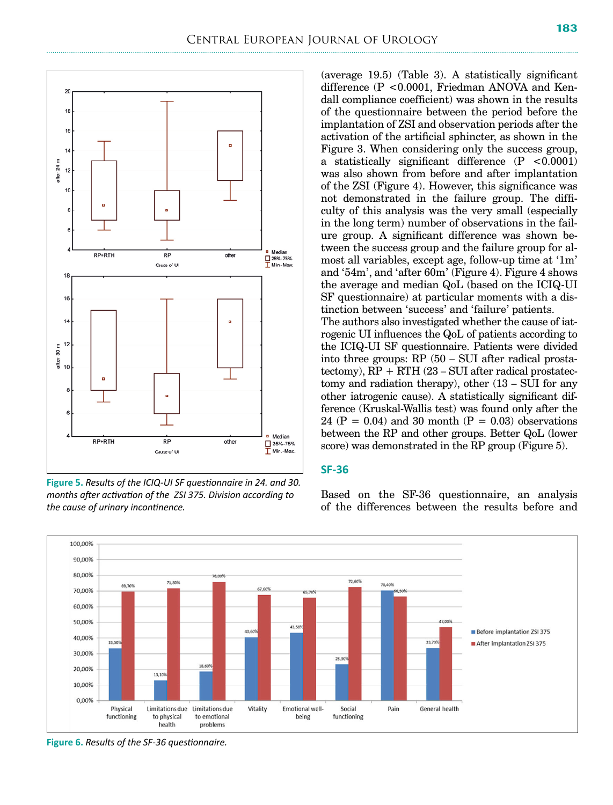

**Figure 5.** *Results of the ICIQ-UI SF questionnaire in 24. and 30. months after activation of the ZSI 375. Division according to the cause of urinary incontinence.*

(average 19.5) (Table 3). A statistically significant difference (P <0.0001, Friedman ANOVA and Kendall compliance coefficient) was shown in the results of the questionnaire between the period before the implantation of ZSI and observation periods after the activation of the artificial sphincter, as shown in the Figure 3. When considering only the success group, a statistically significant difference  $(P < 0.0001)$ was also shown from before and after implantation of the ZSI (Figure 4). However, this significance was not demonstrated in the failure group. The difficulty of this analysis was the very small (especially in the long term) number of observations in the failure group. A significant difference was shown between the success group and the failure group for almost all variables, except age, follow-up time at '1m' and '54m', and 'after 60m' (Figure 4). Figure 4 shows the average and median QoL (based on the ICIQ-UI SF questionnaire) at particular moments with a distinction between 'success' and 'failure' patients. The authors also investigated whether the cause of iatrogenic UI influences the QoL of patients according to the ICIQ-UI SF questionnaire. Patients were divided into three groups: RP (50 – SUI after radical prostatectomy),  $RP + RTH$  (23 – SUI after radical prostatectomy and radiation therapy), other (13 – SUI for any other iatrogenic cause). A statistically significant difference (Kruskal-Wallis test) was found only after the 24 ( $P = 0.04$ ) and 30 month ( $P = 0.03$ ) observations

#### **SF-36**



Based on the SF-36 questionnaire, an analysis of the differences between the results before and

between the RP and other groups. Better QoL (lower score) was demonstrated in the RP group (Figure 5).

**Figure 6.** *Results of the SF-36 questionnaire.*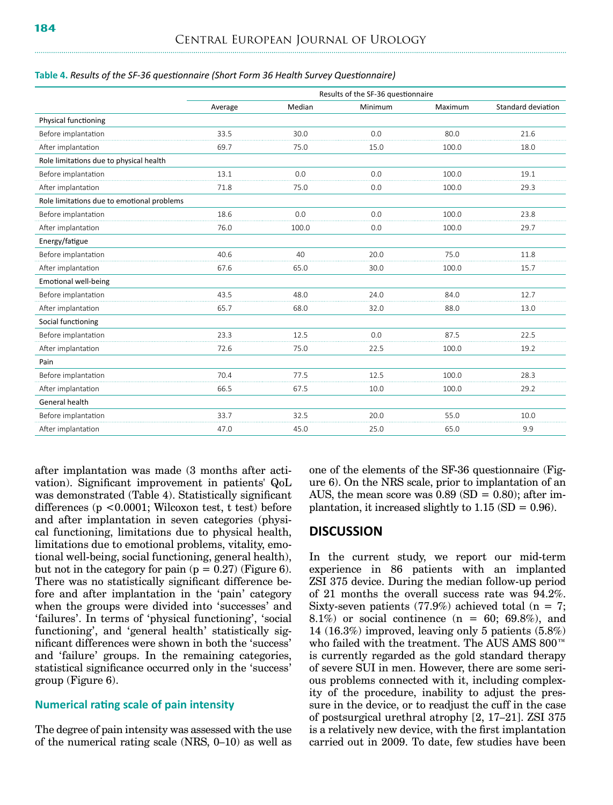**Table 4.** *Results of the SF-36 questionnaire (Short Form 36 Health Survey Questionnaire)*

|                                            | Results of the SF-36 questionnaire |        |         |         |                    |  |
|--------------------------------------------|------------------------------------|--------|---------|---------|--------------------|--|
|                                            | Average                            | Median | Minimum | Maximum | Standard deviation |  |
| Physical functioning                       |                                    |        |         |         |                    |  |
| Before implantation                        | 33.5                               | 30.0   | 0.0     | 80.0    | 21.6               |  |
| After implantation                         | 69.7                               | 75.0   | 15.0    | 100.0   | 18.0               |  |
| Role limitations due to physical health    |                                    |        |         |         |                    |  |
| Before implantation                        | 13.1                               | 0.0    | 0.0     | 100.0   | 19.1               |  |
| After implantation                         | 71.8                               | 75.0   | 0.0     | 100.0   | 29.3               |  |
| Role limitations due to emotional problems |                                    |        |         |         |                    |  |
| Before implantation                        | 18.6                               | 0.0    | 0.0     | 100.0   | 23.8               |  |
| After implantation                         | 76.0                               | 100.0  | 0.0     | 100.0   | 29.7               |  |
| Energy/fatigue                             |                                    |        |         |         |                    |  |
| Before implantation                        | 40.6                               | 40     | 20.0    | 75.0    | 11.8               |  |
| After implantation                         | 67.6                               | 65.0   | 30.0    | 100.0   | 15.7               |  |
| <b>Emotional well-being</b>                |                                    |        |         |         |                    |  |
| Before implantation                        | 43.5                               | 48.0   | 24.0    | 84.0    | 12.7               |  |
| After implantation                         | 65.7                               | 68.0   | 32.0    | 88.0    | 13.0               |  |
| Social functioning                         |                                    |        |         |         |                    |  |
| Before implantation                        | 23.3                               | 12.5   | 0.0     | 87.5    | 22.5               |  |
| After implantation                         | 72.6                               | 75.0   | 22.5    | 100.0   | 19.2               |  |
| Pain                                       |                                    |        |         |         |                    |  |
| Before implantation                        | 70.4                               | 77.5   | 12.5    | 100.0   | 28.3               |  |
| After implantation                         | 66.5                               | 67.5   | 10.0    | 100.0   | 29.2               |  |
| General health                             |                                    |        |         |         |                    |  |
| Before implantation                        | 33.7                               | 32.5   | 20.0    | 55.0    | 10.0               |  |
| After implantation                         | 47.0                               | 45.0   | 25.0    | 65.0    | 9.9                |  |

after implantation was made (3 months after activation). Significant improvement in patients' QoL was demonstrated (Table 4). Statistically significant differences (p <0.0001; Wilcoxon test, t test) before and after implantation in seven categories (physical functioning, limitations due to physical health, limitations due to emotional problems, vitality, emotional well-being, social functioning, general health), but not in the category for pain  $(p = 0.27)$  (Figure 6). There was no statistically significant difference before and after implantation in the 'pain' category when the groups were divided into 'successes' and 'failures'. In terms of 'physical functioning', 'social functioning', and 'general health' statistically significant differences were shown in both the 'success' and 'failure' groups. In the remaining categories, statistical significance occurred only in the 'success' group (Figure 6).

#### **Numerical rating scale of pain intensity**

The degree of pain intensity was assessed with the use of the numerical rating scale (NRS, 0–10) as well as one of the elements of the SF-36 questionnaire (Figure 6). On the NRS scale, prior to implantation of an AUS, the mean score was  $0.89$  (SD =  $0.80$ ); after implantation, it increased slightly to  $1.15$  (SD = 0.96).

## **DISCUSSION**

In the current study, we report our mid-term experience in 86 patients with an implanted ZSI 375 device. During the median follow-up period of 21 months the overall success rate was 94.2%. Sixty-seven patients (77.9%) achieved total ( $n = 7$ ; 8.1%) or social continence  $(n = 60; 69.8\%)$ , and 14 (16.3%) improved, leaving only 5 patients (5.8%) who failed with the treatment. The AUS AMS 800™ is currently regarded as the gold standard therapy of severe SUI in men. However, there are some serious problems connected with it, including complexity of the procedure, inability to adjust the pressure in the device, or to readjust the cuff in the case of postsurgical urethral atrophy [2, 17–21]. ZSI 375 is a relatively new device, with the first implantation carried out in 2009. To date, few studies have been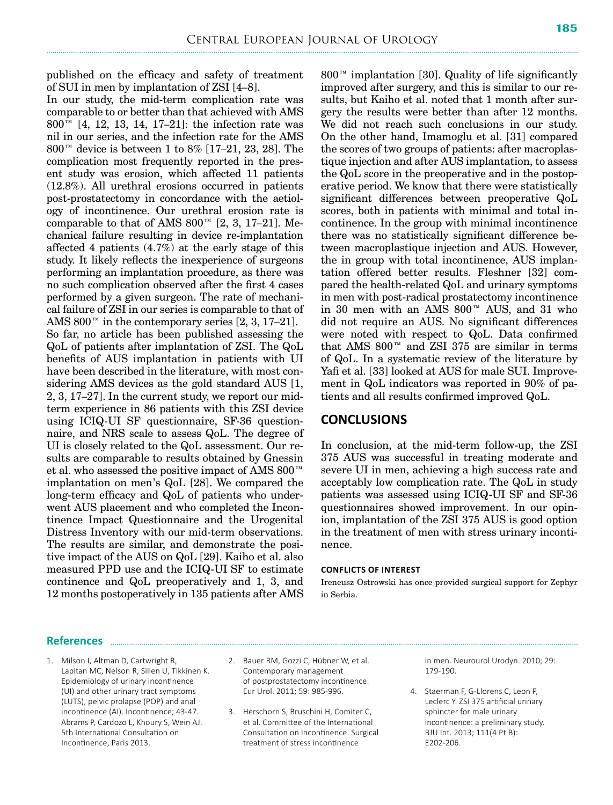published on the efficacy and safety of treatment of SUI in men by implantation of ZSI [4–8].

In our study, the mid-term complication rate was comparable to or better than that achieved with AMS 800™ [4, 12, 13, 14, 17–21]: the infection rate was nil in our series, and the infection rate for the AMS 800™ device is between 1 to 8% [17–21, 23, 28]. The complication most frequently reported in the present study was erosion, which affected 11 patients (12.8%). All urethral erosions occurred in patients post-prostatectomy in concordance with the aetiology of incontinence. Our urethral erosion rate is comparable to that of AMS  $800^{\mathrm{m}}$  [2, 3, 17–21]. Mechanical failure resulting in device re-implantation affected 4 patients (4.7%) at the early stage of this study. It likely reflects the inexperience of surgeons performing an implantation procedure, as there was no such complication observed after the first 4 cases performed by a given surgeon. The rate of mechanical failure of ZSI in our series is comparable to that of AMS 800<sup> $m$ </sup> in the contemporary series [2, 3, 17–21]. So far, no article has been published assessing the QoL of patients after implantation of ZSI. The QoL benefits of AUS implantation in patients with UI have been described in the literature, with most considering AMS devices as the gold standard AUS [1, 2, 3, 17–27]. In the current study, we report our midterm experience in 86 patients with this ZSI device using ICIQ-UI SF questionnaire, SF-36 questionnaire, and NRS scale to assess QoL. The degree of UI is closely related to the QoL assessment. Our results are comparable to results obtained by Gnessin et al. who assessed the positive impact of AMS 800™ implantation on men's QoL [28]. We compared the long-term efficacy and QoL of patients who underwent AUS placement and who completed the Incontinence Impact Questionnaire and the Urogenital Distress Inventory with our mid-term observations. The results are similar, and demonstrate the positive impact of the AUS on QoL [29]. Kaiho et al. also measured PPD use and the ICIQ-UI SF to estimate continence and QoL preoperatively and 1, 3, and 12 months postoperatively in 135 patients after AMS  $800<sup>TM</sup>$  implantation [30]. Quality of life significantly improved after surgery, and this is similar to our results, but Kaiho et al. noted that 1 month after surgery the results were better than after 12 months. We did not reach such conclusions in our study. On the other hand, Imamoglu et al. [31] compared the scores of two groups of patients: after macroplastique injection and after AUS implantation, to assess the QoL score in the preoperative and in the postoperative period. We know that there were statistically significant differences between preoperative QoL scores, both in patients with minimal and total incontinence. In the group with minimal incontinence there was no statistically significant difference between macroplastique injection and AUS. However, the in group with total incontinence, AUS implantation offered better results. Fleshner [32] compared the health-related QoL and urinary symptoms in men with post-radical prostatectomy incontinence in 30 men with an AMS 800™ AUS, and 31 who did not require an AUS. No significant differences were noted with respect to QoL. Data confirmed that AMS  $800^{\mathrm{m}}$  and ZSI 375 are similar in terms of QoL. In a systematic review of the literature by Yafi et al. [33] looked at AUS for male SUI. Improvement in QoL indicators was reported in 90% of patients and all results confirmed improved QoL.

# **CONCLUSIONS**

In conclusion, at the mid-term follow-up, the ZSI 375 AUS was successful in treating moderate and severe UI in men, achieving a high success rate and acceptably low complication rate. The QoL in study patients was assessed using ICIQ-UI SF and SF-36 questionnaires showed improvement. In our opinion, implantation of the ZSI 375 AUS is good option in the treatment of men with stress urinary incontinence.

#### **Conflicts of interest**

Ireneusz Ostrowski has once provided surgical support for Zephyr in Serbia.

#### **References**

- 1. Milson I, Altman D, Cartwright R, Lapitan MC, Nelson R, Sillen U, Tikkinen K. Epidemiology of urinary incontinence (UI) and other urinary tract symptoms (LUTS), pelvic prolapse (POP) and anal incontinence (AI). Incontinence; 43-47. Abrams P, Cardozo L, Khoury S, Wein AJ. 5th International Consultation on Incontinence, Paris 2013.
- 2. Bauer RM, Gozzi C, Hübner W, et al. Contemporary management of postprostatectomy incontinence. Eur Urol. 2011; 59: 985-996.
- 3. Herschorn S, Bruschini H, Comiter C, et al. Committee of the International Consultation on Incontinence. Surgical treatment of stress incontinence

in men. Neurourol Urodyn. 2010; 29: 179-190.

4. Staerman F, G-Llorens C, Leon P, Leclerc Y. ZSI 375 artificial urinary sphincter for male urinary incontinence: a preliminary study. BJU Int. 2013; 111(4 Pt B): E202-206.